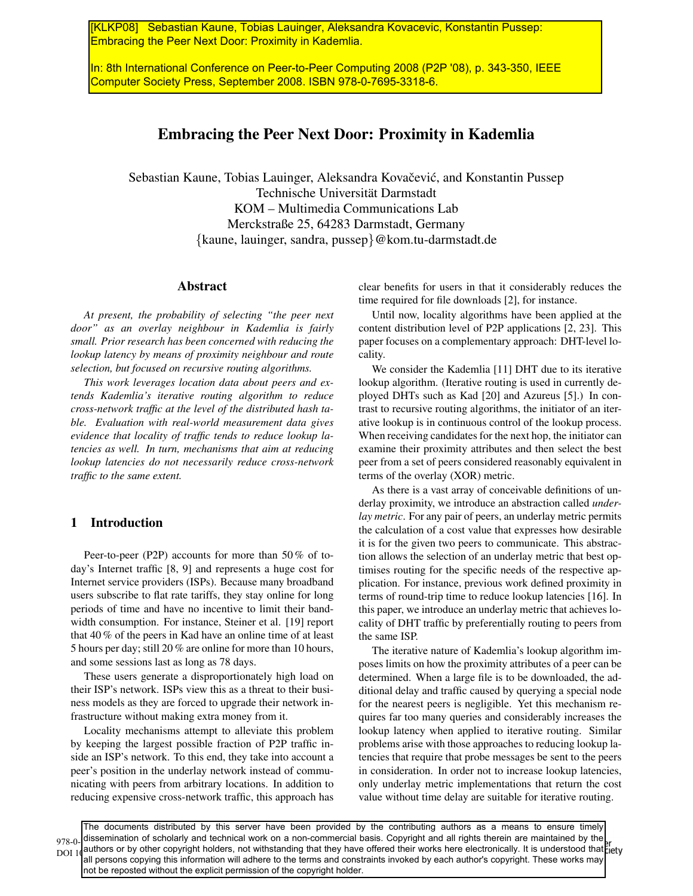[KLKP08] Sebastian Kaune, Tobias Lauinger, Aleksandra Kovacevic, Konstantin Pussep: Embracing the Peer Next Door: Proximity in Kademlia.

In: 8th International Conference on Peer-to-Peer Computing 2008 (P2P '08), p. 343-350, IEEE Computer Society Press, September 2008. ISBN 978-0-7695-3318-6.

# Embracing the Peer Next Door: Proximity in Kademlia

Sebastian Kaune, Tobias Lauinger, Aleksandra Kovačević, and Konstantin Pussep Technische Universität Darmstadt KOM – Multimedia Communications Lab Merckstraße 25, 64283 Darmstadt, Germany {kaune, lauinger, sandra, pussep}@kom.tu-darmstadt.de

#### Abstract

*At present, the probability of selecting "the peer next door" as an overlay neighbour in Kademlia is fairly small. Prior research has been concerned with reducing the lookup latency by means of proximity neighbour and route selection, but focused on recursive routing algorithms.*

*This work leverages location data about peers and extends Kademlia's iterative routing algorithm to reduce cross-network traffic at the level of the distributed hash table. Evaluation with real-world measurement data gives evidence that locality of traffic tends to reduce lookup latencies as well. In turn, mechanisms that aim at reducing lookup latencies do not necessarily reduce cross-network traffic to the same extent.*

## 1 Introduction

Peer-to-peer (P2P) accounts for more than 50 % of today's Internet traffic [8, 9] and represents a huge cost for Internet service providers (ISPs). Because many broadband users subscribe to flat rate tariffs, they stay online for long periods of time and have no incentive to limit their bandwidth consumption. For instance, Steiner et al. [19] report that 40 % of the peers in Kad have an online time of at least 5 hours per day; still 20 % are online for more than 10 hours, and some sessions last as long as 78 days.

These users generate a disproportionately high load on their ISP's network. ISPs view this as a threat to their business models as they are forced to upgrade their network infrastructure without making extra money from it.

Locality mechanisms attempt to alleviate this problem by keeping the largest possible fraction of P2P traffic inside an ISP's network. To this end, they take into account a peer's position in the underlay network instead of communicating with peers from arbitrary locations. In addition to reducing expensive cross-network traffic, this approach has

clear benefits for users in that it considerably reduces the time required for file downloads [2], for instance.

Until now, locality algorithms have been applied at the content distribution level of P2P applications [2, 23]. This paper focuses on a complementary approach: DHT-level locality.

We consider the Kademlia [11] DHT due to its iterative lookup algorithm. (Iterative routing is used in currently deployed DHTs such as Kad [20] and Azureus [5].) In contrast to recursive routing algorithms, the initiator of an iterative lookup is in continuous control of the lookup process. When receiving candidates for the next hop, the initiator can examine their proximity attributes and then select the best peer from a set of peers considered reasonably equivalent in terms of the overlay (XOR) metric.

As there is a vast array of conceivable definitions of underlay proximity, we introduce an abstraction called *underlay metric*. For any pair of peers, an underlay metric permits the calculation of a cost value that expresses how desirable it is for the given two peers to communicate. This abstraction allows the selection of an underlay metric that best optimises routing for the specific needs of the respective application. For instance, previous work defined proximity in terms of round-trip time to reduce lookup latencies [16]. In this paper, we introduce an underlay metric that achieves locality of DHT traffic by preferentially routing to peers from the same ISP.

The iterative nature of Kademlia's lookup algorithm imposes limits on how the proximity attributes of a peer can be determined. When a large file is to be downloaded, the additional delay and traffic caused by querying a special node for the nearest peers is negligible. Yet this mechanism requires far too many queries and considerably increases the lookup latency when applied to iterative routing. Similar problems arise with those approaches to reducing lookup latencies that require that probe messages be sent to the peers in consideration. In order not to increase lookup latencies, only underlay metric implementations that return the cost value without time delay are suitable for iterative routing.

The documents distributed by this server have been provided by the contributing authors as a means to ensure timely

978-0-7695-3318-6/08 \$25.00 © 2008 IEEE DOI 10.1109/P2P.2008.36 absermination or scholarly and technical work on a non-commercial basis. Copyright and all rights therein are maintained by the<br>authors or by other copyright holders, not withstanding that they have offered their works her dissemination of scholarly and technical work on a non-commercial basis. Copyright and all rights therein are maintained by the all persons copying this information will adhere to the terms and constraints invoked by each author's copyright. These works may not be reposted without the explicit permission of the copyright holder.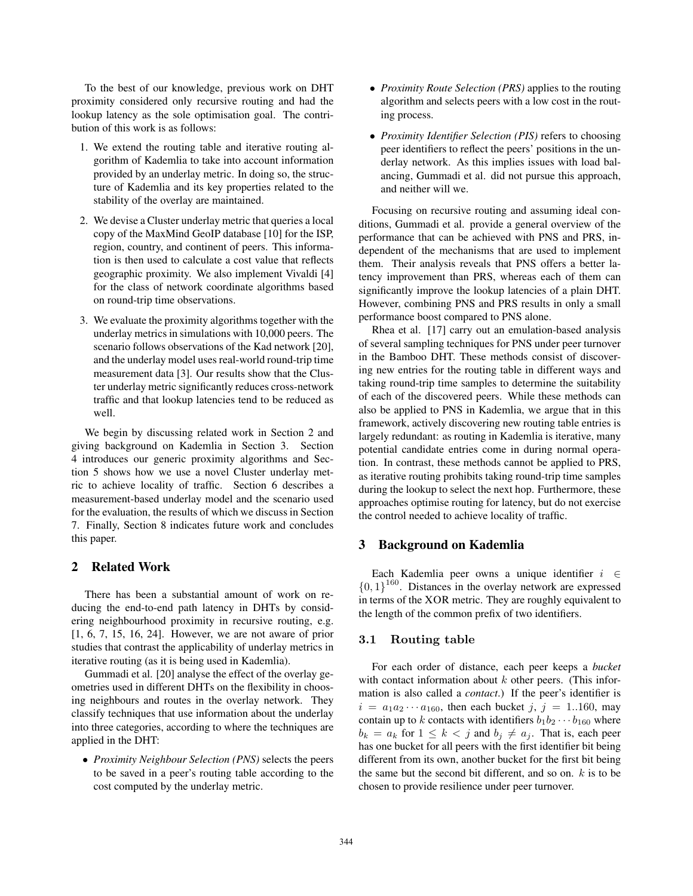To the best of our knowledge, previous work on DHT proximity considered only recursive routing and had the lookup latency as the sole optimisation goal. The contribution of this work is as follows:

- 1. We extend the routing table and iterative routing algorithm of Kademlia to take into account information provided by an underlay metric. In doing so, the structure of Kademlia and its key properties related to the stability of the overlay are maintained.
- 2. We devise a Cluster underlay metric that queries a local copy of the MaxMind GeoIP database [10] for the ISP, region, country, and continent of peers. This information is then used to calculate a cost value that reflects geographic proximity. We also implement Vivaldi [4] for the class of network coordinate algorithms based on round-trip time observations.
- 3. We evaluate the proximity algorithms together with the underlay metrics in simulations with 10,000 peers. The scenario follows observations of the Kad network [20], and the underlay model uses real-world round-trip time measurement data [3]. Our results show that the Cluster underlay metric significantly reduces cross-network traffic and that lookup latencies tend to be reduced as well.

We begin by discussing related work in Section 2 and giving background on Kademlia in Section 3. Section 4 introduces our generic proximity algorithms and Section 5 shows how we use a novel Cluster underlay metric to achieve locality of traffic. Section 6 describes a measurement-based underlay model and the scenario used for the evaluation, the results of which we discuss in Section 7. Finally, Section 8 indicates future work and concludes this paper.

## 2 Related Work

There has been a substantial amount of work on reducing the end-to-end path latency in DHTs by considering neighbourhood proximity in recursive routing, e.g. [1, 6, 7, 15, 16, 24]. However, we are not aware of prior studies that contrast the applicability of underlay metrics in iterative routing (as it is being used in Kademlia).

Gummadi et al. [20] analyse the effect of the overlay geometries used in different DHTs on the flexibility in choosing neighbours and routes in the overlay network. They classify techniques that use information about the underlay into three categories, according to where the techniques are applied in the DHT:

• *Proximity Neighbour Selection (PNS)* selects the peers to be saved in a peer's routing table according to the cost computed by the underlay metric.

- *Proximity Route Selection (PRS)* applies to the routing algorithm and selects peers with a low cost in the routing process.
- *Proximity Identifier Selection (PIS)* refers to choosing peer identifiers to reflect the peers' positions in the underlay network. As this implies issues with load balancing, Gummadi et al. did not pursue this approach, and neither will we.

Focusing on recursive routing and assuming ideal conditions, Gummadi et al. provide a general overview of the performance that can be achieved with PNS and PRS, independent of the mechanisms that are used to implement them. Their analysis reveals that PNS offers a better latency improvement than PRS, whereas each of them can significantly improve the lookup latencies of a plain DHT. However, combining PNS and PRS results in only a small performance boost compared to PNS alone.

Rhea et al. [17] carry out an emulation-based analysis of several sampling techniques for PNS under peer turnover in the Bamboo DHT. These methods consist of discovering new entries for the routing table in different ways and taking round-trip time samples to determine the suitability of each of the discovered peers. While these methods can also be applied to PNS in Kademlia, we argue that in this framework, actively discovering new routing table entries is largely redundant: as routing in Kademlia is iterative, many potential candidate entries come in during normal operation. In contrast, these methods cannot be applied to PRS, as iterative routing prohibits taking round-trip time samples during the lookup to select the next hop. Furthermore, these approaches optimise routing for latency, but do not exercise the control needed to achieve locality of traffic.

### 3 Background on Kademlia

Each Kademlia peer owns a unique identifier  $i \in$  ${0, 1}^{160}$ . Distances in the overlay network are expressed in terms of the XOR metric. They are roughly equivalent to the length of the common prefix of two identifiers.

#### 3.1 Routing table

For each order of distance, each peer keeps a *bucket* with contact information about  $k$  other peers. (This information is also called a *contact*.) If the peer's identifier is  $i = a_1 a_2 \cdots a_{160}$ , then each bucket j,  $j = 1..160$ , may contain up to k contacts with identifiers  $b_1b_2 \cdots b_{160}$  where  $b_k = a_k$  for  $1 \leq k < j$  and  $b_j \neq a_j$ . That is, each peer has one bucket for all peers with the first identifier bit being different from its own, another bucket for the first bit being the same but the second bit different, and so on.  $k$  is to be chosen to provide resilience under peer turnover.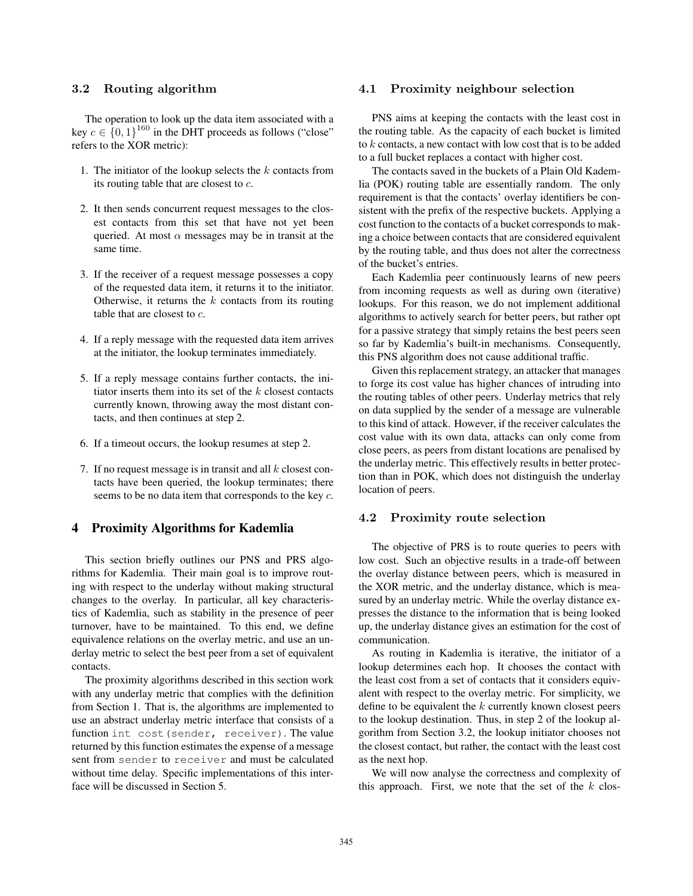#### 3.2 Routing algorithm

The operation to look up the data item associated with a key  $c \in \{0, 1\}^{160}$  in the DHT proceeds as follows ("close" refers to the XOR metric):

- 1. The initiator of the lookup selects the  $k$  contacts from its routing table that are closest to  $c$ .
- 2. It then sends concurrent request messages to the closest contacts from this set that have not yet been queried. At most  $\alpha$  messages may be in transit at the same time.
- 3. If the receiver of a request message possesses a copy of the requested data item, it returns it to the initiator. Otherwise, it returns the  $k$  contacts from its routing table that are closest to c.
- 4. If a reply message with the requested data item arrives at the initiator, the lookup terminates immediately.
- 5. If a reply message contains further contacts, the initiator inserts them into its set of the  $k$  closest contacts currently known, throwing away the most distant contacts, and then continues at step 2.
- 6. If a timeout occurs, the lookup resumes at step 2.
- 7. If no request message is in transit and all  $k$  closest contacts have been queried, the lookup terminates; there seems to be no data item that corresponds to the key c.

## 4 Proximity Algorithms for Kademlia

This section briefly outlines our PNS and PRS algorithms for Kademlia. Their main goal is to improve routing with respect to the underlay without making structural changes to the overlay. In particular, all key characteristics of Kademlia, such as stability in the presence of peer turnover, have to be maintained. To this end, we define equivalence relations on the overlay metric, and use an underlay metric to select the best peer from a set of equivalent contacts.

The proximity algorithms described in this section work with any underlay metric that complies with the definition from Section 1. That is, the algorithms are implemented to use an abstract underlay metric interface that consists of a function int cost(sender, receiver). The value returned by this function estimates the expense of a message sent from sender to receiver and must be calculated without time delay. Specific implementations of this interface will be discussed in Section 5.

#### 4.1 Proximity neighbour selection

PNS aims at keeping the contacts with the least cost in the routing table. As the capacity of each bucket is limited to k contacts, a new contact with low cost that is to be added to a full bucket replaces a contact with higher cost.

The contacts saved in the buckets of a Plain Old Kademlia (POK) routing table are essentially random. The only requirement is that the contacts' overlay identifiers be consistent with the prefix of the respective buckets. Applying a cost function to the contacts of a bucket corresponds to making a choice between contacts that are considered equivalent by the routing table, and thus does not alter the correctness of the bucket's entries.

Each Kademlia peer continuously learns of new peers from incoming requests as well as during own (iterative) lookups. For this reason, we do not implement additional algorithms to actively search for better peers, but rather opt for a passive strategy that simply retains the best peers seen so far by Kademlia's built-in mechanisms. Consequently, this PNS algorithm does not cause additional traffic.

Given this replacement strategy, an attacker that manages to forge its cost value has higher chances of intruding into the routing tables of other peers. Underlay metrics that rely on data supplied by the sender of a message are vulnerable to this kind of attack. However, if the receiver calculates the cost value with its own data, attacks can only come from close peers, as peers from distant locations are penalised by the underlay metric. This effectively results in better protection than in POK, which does not distinguish the underlay location of peers.

#### 4.2 Proximity route selection

The objective of PRS is to route queries to peers with low cost. Such an objective results in a trade-off between the overlay distance between peers, which is measured in the XOR metric, and the underlay distance, which is measured by an underlay metric. While the overlay distance expresses the distance to the information that is being looked up, the underlay distance gives an estimation for the cost of communication.

As routing in Kademlia is iterative, the initiator of a lookup determines each hop. It chooses the contact with the least cost from a set of contacts that it considers equivalent with respect to the overlay metric. For simplicity, we define to be equivalent the  $k$  currently known closest peers to the lookup destination. Thus, in step 2 of the lookup algorithm from Section 3.2, the lookup initiator chooses not the closest contact, but rather, the contact with the least cost as the next hop.

We will now analyse the correctness and complexity of this approach. First, we note that the set of the  $k$  clos-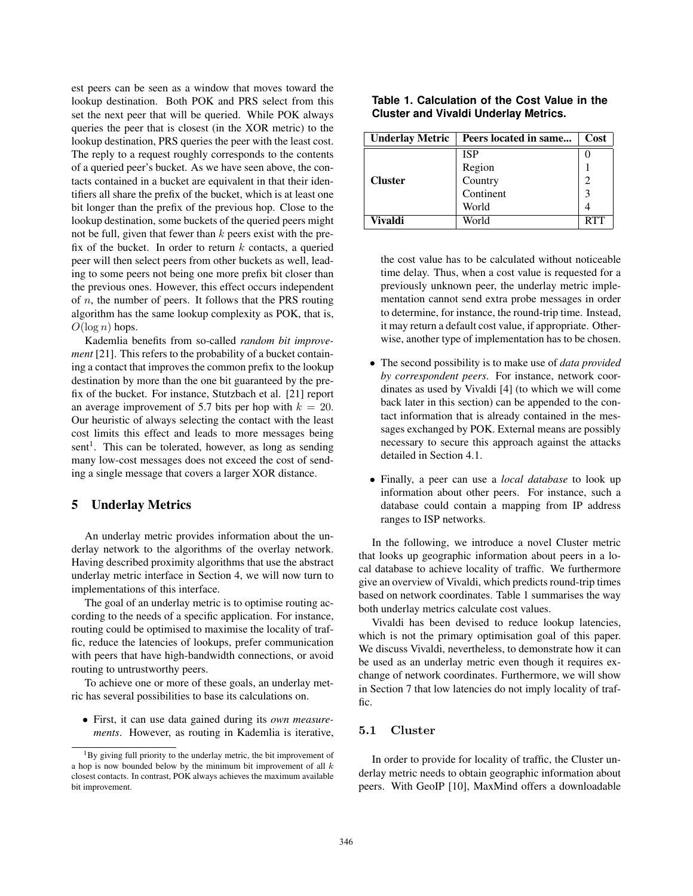est peers can be seen as a window that moves toward the lookup destination. Both POK and PRS select from this set the next peer that will be queried. While POK always queries the peer that is closest (in the XOR metric) to the lookup destination, PRS queries the peer with the least cost. The reply to a request roughly corresponds to the contents of a queried peer's bucket. As we have seen above, the contacts contained in a bucket are equivalent in that their identifiers all share the prefix of the bucket, which is at least one bit longer than the prefix of the previous hop. Close to the lookup destination, some buckets of the queried peers might not be full, given that fewer than  $k$  peers exist with the prefix of the bucket. In order to return  $k$  contacts, a queried peer will then select peers from other buckets as well, leading to some peers not being one more prefix bit closer than the previous ones. However, this effect occurs independent of  $n$ , the number of peers. It follows that the PRS routing algorithm has the same lookup complexity as POK, that is,  $O(\log n)$  hops.

Kademlia benefits from so-called *random bit improvement* [21]. This refers to the probability of a bucket containing a contact that improves the common prefix to the lookup destination by more than the one bit guaranteed by the prefix of the bucket. For instance, Stutzbach et al. [21] report an average improvement of 5.7 bits per hop with  $k = 20$ . Our heuristic of always selecting the contact with the least cost limits this effect and leads to more messages being sent<sup>1</sup>. This can be tolerated, however, as long as sending many low-cost messages does not exceed the cost of sending a single message that covers a larger XOR distance.

## 5 Underlay Metrics

An underlay metric provides information about the underlay network to the algorithms of the overlay network. Having described proximity algorithms that use the abstract underlay metric interface in Section 4, we will now turn to implementations of this interface.

The goal of an underlay metric is to optimise routing according to the needs of a specific application. For instance, routing could be optimised to maximise the locality of traffic, reduce the latencies of lookups, prefer communication with peers that have high-bandwidth connections, or avoid routing to untrustworthy peers.

To achieve one or more of these goals, an underlay metric has several possibilities to base its calculations on.

• First, it can use data gained during its *own measurements*. However, as routing in Kademlia is iterative,

| <b>Underlay Metric</b> | Peers located in same | Cost |
|------------------------|-----------------------|------|
| <b>Cluster</b>         | <b>ISP</b>            |      |
|                        | Region<br>Country     |      |
|                        |                       | っ    |
|                        | Continent             | 3    |
|                        | World                 |      |
| Vivaldi                | World                 | RTT  |

### **Table 1. Calculation of the Cost Value in the Cluster and Vivaldi Underlay Metrics.**

the cost value has to be calculated without noticeable time delay. Thus, when a cost value is requested for a previously unknown peer, the underlay metric implementation cannot send extra probe messages in order to determine, for instance, the round-trip time. Instead, it may return a default cost value, if appropriate. Otherwise, another type of implementation has to be chosen.

- The second possibility is to make use of *data provided by correspondent peers*. For instance, network coordinates as used by Vivaldi [4] (to which we will come back later in this section) can be appended to the contact information that is already contained in the messages exchanged by POK. External means are possibly necessary to secure this approach against the attacks detailed in Section 4.1.
- Finally, a peer can use a *local database* to look up information about other peers. For instance, such a database could contain a mapping from IP address ranges to ISP networks.

In the following, we introduce a novel Cluster metric that looks up geographic information about peers in a local database to achieve locality of traffic. We furthermore give an overview of Vivaldi, which predicts round-trip times based on network coordinates. Table 1 summarises the way both underlay metrics calculate cost values.

Vivaldi has been devised to reduce lookup latencies, which is not the primary optimisation goal of this paper. We discuss Vivaldi, nevertheless, to demonstrate how it can be used as an underlay metric even though it requires exchange of network coordinates. Furthermore, we will show in Section 7 that low latencies do not imply locality of traffic.

## 5.1 Cluster

In order to provide for locality of traffic, the Cluster underlay metric needs to obtain geographic information about peers. With GeoIP [10], MaxMind offers a downloadable

 $1_{\text{By giving full priority to the underlying metric, the bit improvement of}}$ a hop is now bounded below by the minimum bit improvement of all  $k$ closest contacts. In contrast, POK always achieves the maximum available bit improvement.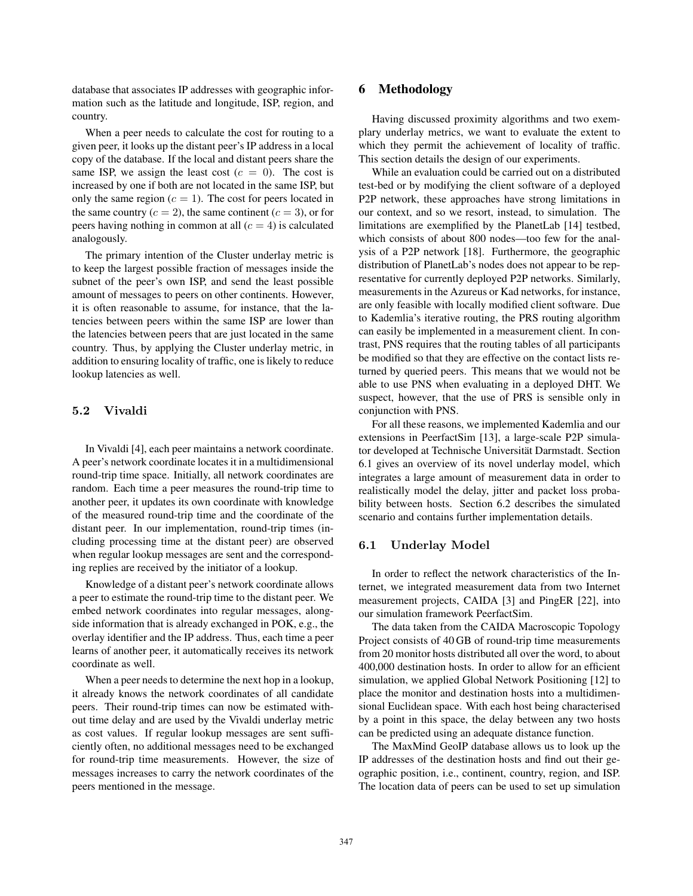database that associates IP addresses with geographic information such as the latitude and longitude, ISP, region, and country.

When a peer needs to calculate the cost for routing to a given peer, it looks up the distant peer's IP address in a local copy of the database. If the local and distant peers share the same ISP, we assign the least cost  $(c = 0)$ . The cost is increased by one if both are not located in the same ISP, but only the same region  $(c = 1)$ . The cost for peers located in the same country ( $c = 2$ ), the same continent ( $c = 3$ ), or for peers having nothing in common at all  $(c = 4)$  is calculated analogously.

The primary intention of the Cluster underlay metric is to keep the largest possible fraction of messages inside the subnet of the peer's own ISP, and send the least possible amount of messages to peers on other continents. However, it is often reasonable to assume, for instance, that the latencies between peers within the same ISP are lower than the latencies between peers that are just located in the same country. Thus, by applying the Cluster underlay metric, in addition to ensuring locality of traffic, one is likely to reduce lookup latencies as well.

## 5.2 Vivaldi

In Vivaldi [4], each peer maintains a network coordinate. A peer's network coordinate locates it in a multidimensional round-trip time space. Initially, all network coordinates are random. Each time a peer measures the round-trip time to another peer, it updates its own coordinate with knowledge of the measured round-trip time and the coordinate of the distant peer. In our implementation, round-trip times (including processing time at the distant peer) are observed when regular lookup messages are sent and the corresponding replies are received by the initiator of a lookup.

Knowledge of a distant peer's network coordinate allows a peer to estimate the round-trip time to the distant peer. We embed network coordinates into regular messages, alongside information that is already exchanged in POK, e.g., the overlay identifier and the IP address. Thus, each time a peer learns of another peer, it automatically receives its network coordinate as well.

When a peer needs to determine the next hop in a lookup, it already knows the network coordinates of all candidate peers. Their round-trip times can now be estimated without time delay and are used by the Vivaldi underlay metric as cost values. If regular lookup messages are sent sufficiently often, no additional messages need to be exchanged for round-trip time measurements. However, the size of messages increases to carry the network coordinates of the peers mentioned in the message.

### 6 Methodology

Having discussed proximity algorithms and two exemplary underlay metrics, we want to evaluate the extent to which they permit the achievement of locality of traffic. This section details the design of our experiments.

While an evaluation could be carried out on a distributed test-bed or by modifying the client software of a deployed P2P network, these approaches have strong limitations in our context, and so we resort, instead, to simulation. The limitations are exemplified by the PlanetLab [14] testbed, which consists of about 800 nodes—too few for the analysis of a P2P network [18]. Furthermore, the geographic distribution of PlanetLab's nodes does not appear to be representative for currently deployed P2P networks. Similarly, measurements in the Azureus or Kad networks, for instance, are only feasible with locally modified client software. Due to Kademlia's iterative routing, the PRS routing algorithm can easily be implemented in a measurement client. In contrast, PNS requires that the routing tables of all participants be modified so that they are effective on the contact lists returned by queried peers. This means that we would not be able to use PNS when evaluating in a deployed DHT. We suspect, however, that the use of PRS is sensible only in conjunction with PNS.

For all these reasons, we implemented Kademlia and our extensions in PeerfactSim [13], a large-scale P2P simulator developed at Technische Universität Darmstadt. Section 6.1 gives an overview of its novel underlay model, which integrates a large amount of measurement data in order to realistically model the delay, jitter and packet loss probability between hosts. Section 6.2 describes the simulated scenario and contains further implementation details.

## 6.1 Underlay Model

In order to reflect the network characteristics of the Internet, we integrated measurement data from two Internet measurement projects, CAIDA [3] and PingER [22], into our simulation framework PeerfactSim.

The data taken from the CAIDA Macroscopic Topology Project consists of 40 GB of round-trip time measurements from 20 monitor hosts distributed all over the word, to about 400,000 destination hosts. In order to allow for an efficient simulation, we applied Global Network Positioning [12] to place the monitor and destination hosts into a multidimensional Euclidean space. With each host being characterised by a point in this space, the delay between any two hosts can be predicted using an adequate distance function.

The MaxMind GeoIP database allows us to look up the IP addresses of the destination hosts and find out their geographic position, i.e., continent, country, region, and ISP. The location data of peers can be used to set up simulation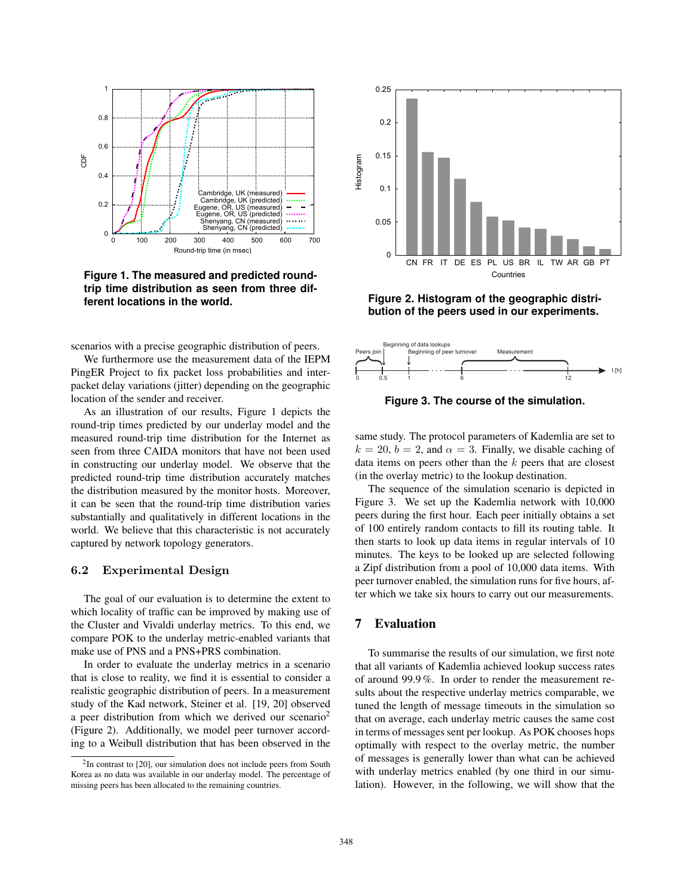

**Figure 1. The measured and predicted roundtrip time distribution as seen from three different locations in the world.**

scenarios with a precise geographic distribution of peers.

We furthermore use the measurement data of the IEPM PingER Project to fix packet loss probabilities and interpacket delay variations (jitter) depending on the geographic location of the sender and receiver.

As an illustration of our results, Figure 1 depicts the round-trip times predicted by our underlay model and the measured round-trip time distribution for the Internet as seen from three CAIDA monitors that have not been used in constructing our underlay model. We observe that the predicted round-trip time distribution accurately matches the distribution measured by the monitor hosts. Moreover, it can be seen that the round-trip time distribution varies substantially and qualitatively in different locations in the world. We believe that this characteristic is not accurately captured by network topology generators.

#### 6.2 Experimental Design

The goal of our evaluation is to determine the extent to which locality of traffic can be improved by making use of the Cluster and Vivaldi underlay metrics. To this end, we compare POK to the underlay metric-enabled variants that make use of PNS and a PNS+PRS combination.

In order to evaluate the underlay metrics in a scenario that is close to reality, we find it is essential to consider a realistic geographic distribution of peers. In a measurement study of the Kad network, Steiner et al. [19, 20] observed a peer distribution from which we derived our scenario<sup>2</sup> (Figure 2). Additionally, we model peer turnover according to a Weibull distribution that has been observed in the



**Figure 2. Histogram of the geographic distribution of the peers used in our experiments.**



**Figure 3. The course of the simulation.**

same study. The protocol parameters of Kademlia are set to  $k = 20$ ,  $b = 2$ , and  $\alpha = 3$ . Finally, we disable caching of data items on peers other than the  $k$  peers that are closest (in the overlay metric) to the lookup destination.

The sequence of the simulation scenario is depicted in Figure 3. We set up the Kademlia network with 10,000 peers during the first hour. Each peer initially obtains a set of 100 entirely random contacts to fill its routing table. It then starts to look up data items in regular intervals of 10 minutes. The keys to be looked up are selected following a Zipf distribution from a pool of 10,000 data items. With peer turnover enabled, the simulation runs for five hours, after which we take six hours to carry out our measurements.

# 7 Evaluation

To summarise the results of our simulation, we first note that all variants of Kademlia achieved lookup success rates of around 99.9 %. In order to render the measurement results about the respective underlay metrics comparable, we tuned the length of message timeouts in the simulation so that on average, each underlay metric causes the same cost in terms of messages sent per lookup. As POK chooses hops optimally with respect to the overlay metric, the number of messages is generally lower than what can be achieved with underlay metrics enabled (by one third in our simulation). However, in the following, we will show that the

 $2$ In contrast to [20], our simulation does not include peers from South Korea as no data was available in our underlay model. The percentage of missing peers has been allocated to the remaining countries.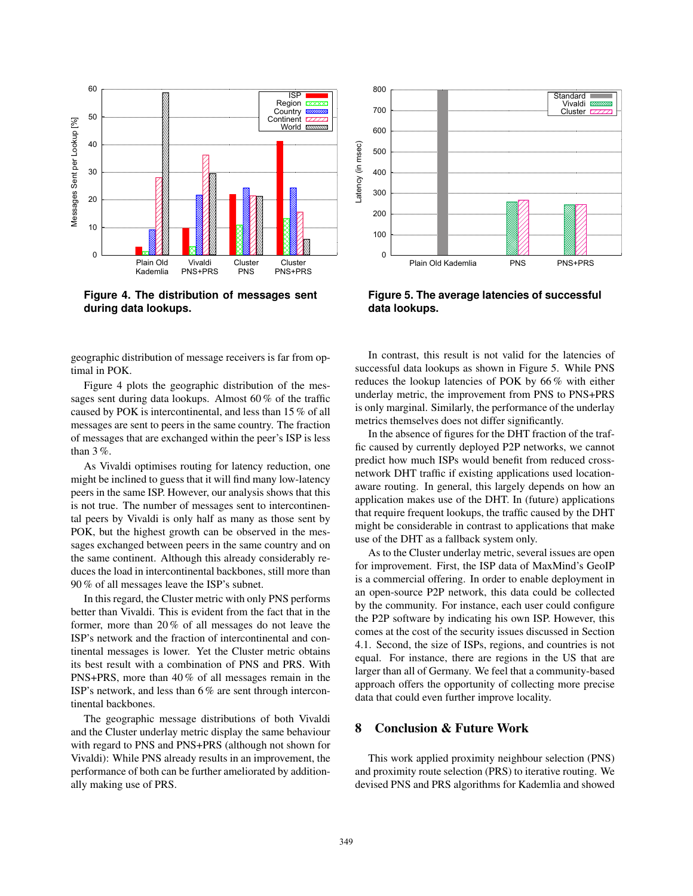

**Figure 4. The distribution of messages sent during data lookups.**

 $\Omega$  100 200  $300 +$  400 500 600 700 800 Plain Old Kademlia PNS PNS+PRS Latency(in msec)**Standard** Vivaldi Cluster

**Figure 5. The average latencies of successful data lookups.**

geographic distribution of message receivers is far from optimal in POK.

Figure 4 plots the geographic distribution of the messages sent during data lookups. Almost 60 % of the traffic caused by POK is intercontinental, and less than 15 % of all messages are sent to peers in the same country. The fraction of messages that are exchanged within the peer's ISP is less than  $3\%$ .

As Vivaldi optimises routing for latency reduction, one might be inclined to guess that it will find many low-latency peers in the same ISP. However, our analysis shows that this is not true. The number of messages sent to intercontinental peers by Vivaldi is only half as many as those sent by POK, but the highest growth can be observed in the messages exchanged between peers in the same country and on the same continent. Although this already considerably reduces the load in intercontinental backbones, still more than 90 % of all messages leave the ISP's subnet.

In this regard, the Cluster metric with only PNS performs better than Vivaldi. This is evident from the fact that in the former, more than 20 % of all messages do not leave the ISP's network and the fraction of intercontinental and continental messages is lower. Yet the Cluster metric obtains its best result with a combination of PNS and PRS. With PNS+PRS, more than 40 % of all messages remain in the ISP's network, and less than 6 % are sent through intercontinental backbones.

The geographic message distributions of both Vivaldi and the Cluster underlay metric display the same behaviour with regard to PNS and PNS+PRS (although not shown for Vivaldi): While PNS already results in an improvement, the performance of both can be further ameliorated by additionally making use of PRS.

In contrast, this result is not valid for the latencies of successful data lookups as shown in Figure 5. While PNS reduces the lookup latencies of POK by 66 % with either underlay metric, the improvement from PNS to PNS+PRS is only marginal. Similarly, the performance of the underlay metrics themselves does not differ significantly.

In the absence of figures for the DHT fraction of the traffic caused by currently deployed P2P networks, we cannot predict how much ISPs would benefit from reduced crossnetwork DHT traffic if existing applications used locationaware routing. In general, this largely depends on how an application makes use of the DHT. In (future) applications that require frequent lookups, the traffic caused by the DHT might be considerable in contrast to applications that make use of the DHT as a fallback system only.

As to the Cluster underlay metric, several issues are open for improvement. First, the ISP data of MaxMind's GeoIP is a commercial offering. In order to enable deployment in an open-source P2P network, this data could be collected by the community. For instance, each user could configure the P2P software by indicating his own ISP. However, this comes at the cost of the security issues discussed in Section 4.1. Second, the size of ISPs, regions, and countries is not equal. For instance, there are regions in the US that are larger than all of Germany. We feel that a community-based approach offers the opportunity of collecting more precise data that could even further improve locality.

## 8 Conclusion & Future Work

This work applied proximity neighbour selection (PNS) and proximity route selection (PRS) to iterative routing. We devised PNS and PRS algorithms for Kademlia and showed